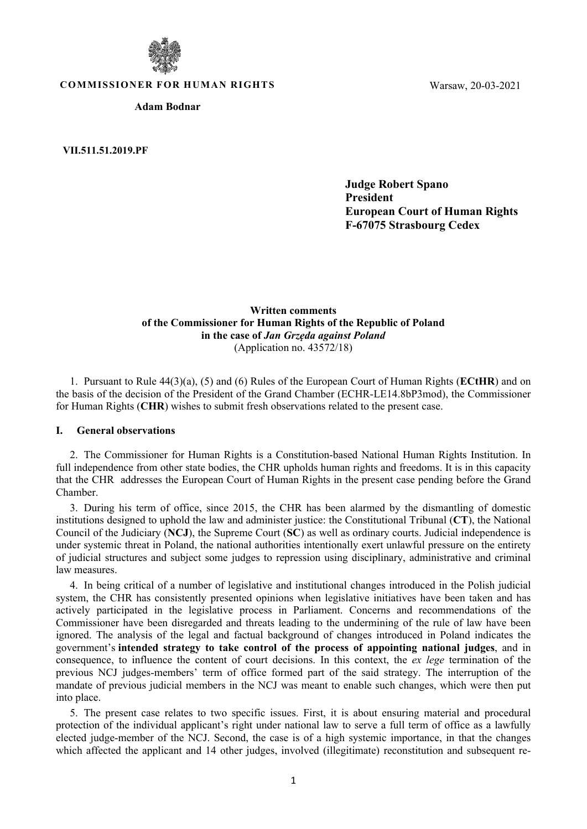

**COMMISSIONER FOR HUMAN RIGHTS**

**Adam Bodnar**

**VII.511.51.2019.PF**

Warsaw, 20-03-2021

**Judge Robert Spano President European Court of Human Rights F-67075 Strasbourg Cedex**

**Written comments of the Commissioner for Human Rights of the Republic of Poland in the case of** *Jan Grzęda against Poland* (Application no. 43572/18)

1. Pursuant to Rule 44(3)(a), (5) and (6) Rules of the European Court of Human Rights (**ECtHR**) and on the basis of the decision of the President of the Grand Chamber (ECHR-LE14.8bP3mod), the Commissioner for Human Rights (**CHR**) wishes to submit fresh observations related to the present case.

#### **I. General observations**

2. The Commissioner for Human Rights is a Constitution-based National Human Rights Institution. In full independence from other state bodies, the CHR upholds human rights and freedoms. It is in this capacity that the CHR addresses the European Court of Human Rights in the present case pending before the Grand Chamber.

3. During his term of office, since 2015, the CHR has been alarmed by the dismantling of domestic institutions designed to uphold the law and administer justice: the Constitutional Tribunal (**CT**), the National Council of the Judiciary (**NCJ**), the Supreme Court (**SC**) as well as ordinary courts. Judicial independence is under systemic threat in Poland, the national authorities intentionally exert unlawful pressure on the entirety of judicial structures and subject some judges to repression using disciplinary, administrative and criminal law measures.

4. In being critical of a number of legislative and institutional changes introduced in the Polish judicial system, the CHR has consistently presented opinions when legislative initiatives have been taken and has actively participated in the legislative process in Parliament. Concerns and recommendations of the Commissioner have been disregarded and threats leading to the undermining of the rule of law have been ignored. The analysis of the legal and factual background of changes introduced in Poland indicates the government's **intended strategy to take control of the process of appointing national judges**, and in consequence, to influence the content of court decisions. In this context, the *ex lege* termination of the previous NCJ judges-members' term of office formed part of the said strategy. The interruption of the mandate of previous judicial members in the NCJ was meant to enable such changes, which were then put into place.

5. The present case relates to two specific issues. First, it is about ensuring material and procedural protection of the individual applicant's right under national law to serve a full term of office as a lawfully elected judge-member of the NCJ. Second, the case is of a high systemic importance, in that the changes which affected the applicant and 14 other judges, involved (illegitimate) reconstitution and subsequent re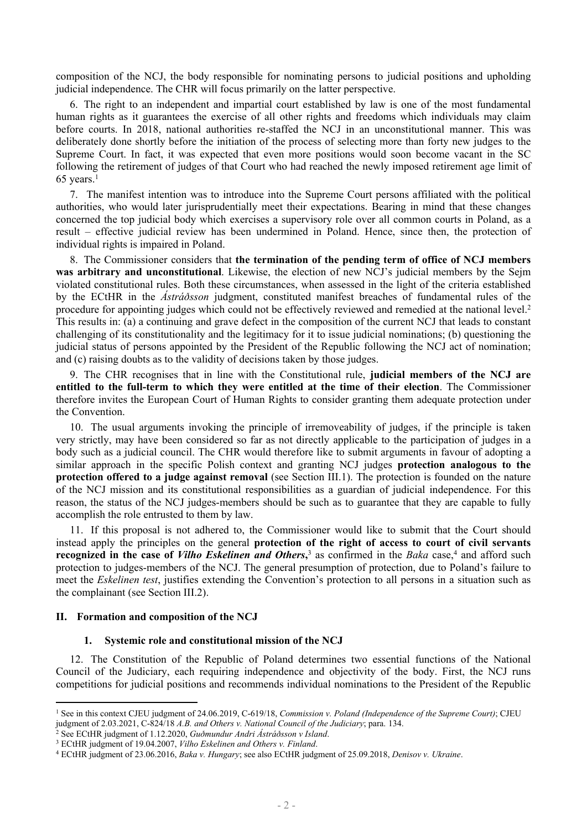composition of the NCJ, the body responsible for nominating persons to judicial positions and upholding judicial independence. The CHR will focus primarily on the latter perspective.

6. The right to an independent and impartial court established by law is one of the most fundamental human rights as it guarantees the exercise of all other rights and freedoms which individuals may claim before courts. In 2018, national authorities re-staffed the NCJ in an unconstitutional manner. This was deliberately done shortly before the initiation of the process of selecting more than forty new judges to the Supreme Court. In fact, it was expected that even more positions would soon become vacant in the SC following the retirement of judges of that Court who had reached the newly imposed retirement age limit of  $65$  years.<sup>1</sup>

7. The manifest intention was to introduce into the Supreme Court persons affiliated with the political authorities, who would later jurisprudentially meet their expectations. Bearing in mind that these changes concerned the top judicial body which exercises a supervisory role over all common courts in Poland, as a result – effective judicial review has been undermined in Poland. Hence, since then, the protection of individual rights is impaired in Poland.

8. The Commissioner considers that **the termination of the pending term of office of NCJ members was arbitrary and unconstitutional**. Likewise, the election of new NCJ's judicial members by the Sejm violated constitutional rules. Both these circumstances, when assessed in the light of the criteria established by the ECtHR in the *Ástráðsson* judgment, constituted manifest breaches of fundamental rules of the procedure for appointing judges which could not be effectively reviewed and remedied at the national level.<sup>2</sup> This results in: (a) a continuing and grave defect in the composition of the current NCJ that leads to constant challenging of its constitutionality and the legitimacy for it to issue judicial nominations; (b) questioning the judicial status of persons appointed by the President of the Republic following the NCJ act of nomination; and (c) raising doubts as to the validity of decisions taken by those judges.

9. The CHR recognises that in line with the Constitutional rule, **judicial members of the NCJ are entitled to the full-term to which they were entitled at the time of their election**. The Commissioner therefore invites the European Court of Human Rights to consider granting them adequate protection under the Convention.

10. The usual arguments invoking the principle of irremoveability of judges, if the principle is taken very strictly, may have been considered so far as not directly applicable to the participation of judges in a body such as a judicial council. The CHR would therefore like to submit arguments in favour of adopting a similar approach in the specific Polish context and granting NCJ judges **protection analogous to the protection offered to a judge against removal** (see Section III.1). The protection is founded on the nature of the NCJ mission and its constitutional responsibilities as a guardian of judicial independence. For this reason, the status of the NCJ judges-members should be such as to guarantee that they are capable to fully accomplish the role entrusted to them by law.

11. If this proposal is not adhered to, the Commissioner would like to submit that the Court should instead apply the principles on the general **protection of the right of access to court of civil servants recognized in the case of** *Vilho Eskelinen and Others*,<sup>3</sup> as confirmed in the *Baka* case,<sup>4</sup> and afford such protection to judges-members of the NCJ. The general presumption of protection, due to Poland's failure to meet the *Eskelinen test*, justifies extending the Convention's protection to all persons in a situation such as the complainant (see Section III.2).

#### **II. Formation and composition of the NCJ**

#### **1. Systemic role and constitutional mission of the NCJ**

12. The Constitution of the Republic of Poland determines two essential functions of the National Council of the Judiciary, each requiring independence and objectivity of the body. First, the NCJ runs competitions for judicial positions and recommends individual nominations to the President of the Republic

<sup>1</sup> See in this context CJEU judgment of 24.06.2019, C-619/18, *Commission v. Poland (Independence of the Supreme Court)*; CJEU judgment of 2.03.2021, C-824/18 *A.B. and Others v. National Council of the Judiciary*; para. 134.

<sup>2</sup> See ECtHR judgment of 1.12.2020, *Guðmundur Andri Ástráðsson v Island*. <sup>3</sup> ECtHR judgment of 19.04.2007, *Vilho Eskelinen and Others v. Finland*.

<sup>4</sup> ECtHR judgment of 23.06.2016, *Baka v. Hungary*; see also ECtHR judgment of 25.09.2018, *Denisov v. Ukraine*.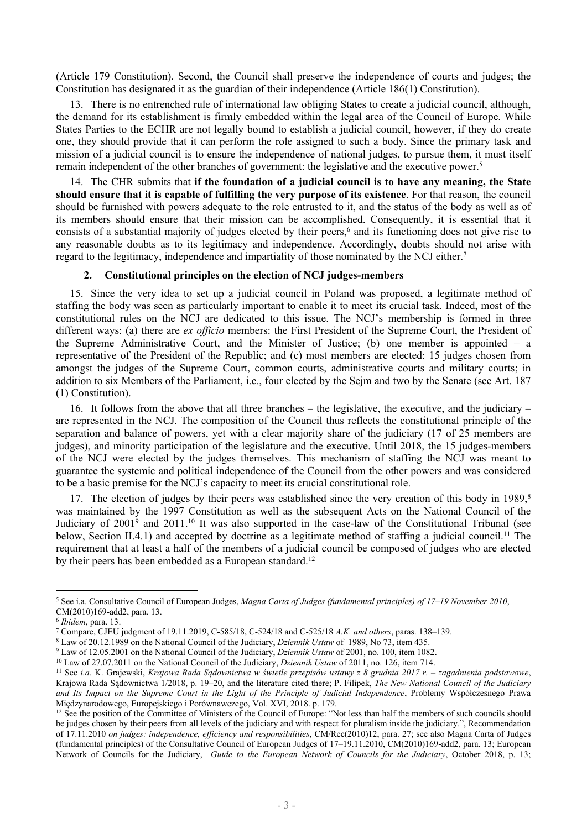(Article 179 Constitution). Second, the Council shall preserve the independence of courts and judges; the Constitution has designated it as the guardian of their independence (Article 186(1) Constitution).

13. There is no entrenched rule of international law obliging States to create a judicial council, although, the demand for its establishment is firmly embedded within the legal area of the Council of Europe. While States Parties to the ECHR are not legally bound to establish a judicial council, however, if they do create one, they should provide that it can perform the role assigned to such a body. Since the primary task and mission of a judicial council is to ensure the independence of national judges, to pursue them, it must itself remain independent of the other branches of government: the legislative and the executive power.<sup>5</sup>

14. The CHR submits that **if the foundation of a judicial council is to have any meaning, the State should ensure that it is capable of fulfilling the very purpose of its existence**. For that reason, the council should be furnished with powers adequate to the role entrusted to it, and the status of the body as well as of its members should ensure that their mission can be accomplished. Consequently, it is essential that it consists of a substantial majority of judges elected by their peers,<sup>6</sup> and its functioning does not give rise to any reasonable doubts as to its legitimacy and independence. Accordingly, doubts should not arise with regard to the legitimacy, independence and impartiality of those nominated by the NCJ either.<sup>7</sup>

## **2. Constitutional principles on the election of NCJ judges-members**

15. Since the very idea to set up a judicial council in Poland was proposed, a legitimate method of staffing the body was seen as particularly important to enable it to meet its crucial task. Indeed, most of the constitutional rules on the NCJ are dedicated to this issue. The NCJ's membership is formed in three different ways: (a) there are *ex officio* members: the First President of the Supreme Court, the President of the Supreme Administrative Court, and the Minister of Justice; (b) one member is appointed  $-$  a representative of the President of the Republic; and (c) most members are elected: 15 judges chosen from amongst the judges of the Supreme Court, common courts, administrative courts and military courts; in addition to six Members of the Parliament, i.e., four elected by the Sejm and two by the Senate (see Art. 187 (1) Constitution).

16. It follows from the above that all three branches – the legislative, the executive, and the judiciary – are represented in the NCJ. The composition of the Council thus reflects the constitutional principle of the separation and balance of powers, yet with a clear majority share of the judiciary (17 of 25 members are judges), and minority participation of the legislature and the executive. Until 2018, the 15 judges-members of the NCJ were elected by the judges themselves. This mechanism of staffing the NCJ was meant to guarantee the systemic and political independence of the Council from the other powers and was considered to be a basic premise for the NCJ's capacity to meet its crucial constitutional role.

17. The election of judges by their peers was established since the very creation of this body in 1989,<sup>8</sup> was maintained by the 1997 Constitution as well as the subsequent Acts on the National Council of the Judiciary of 2001<sup>9</sup> and 2011.<sup>10</sup> It was also supported in the case-law of the Constitutional Tribunal (see below, Section II.4.1) and accepted by doctrine as a legitimate method of staffing a judicial council.<sup>11</sup> The requirement that at least a half of the members of a judicial council be composed of judges who are elected by their peers has been embedded as a European standard.<sup>12</sup>

<sup>5</sup> See i.a. Consultative Council of European Judges, *Magna Carta of Judges (fundamental principles) of 17–19 November 2010*, CM(2010)169-add2, para. 13.

<sup>6</sup> *Ibidem*, para. 13.

<sup>7</sup> Compare, CJEU judgment of 19.11.2019, C-585/18, C-524/18 and C-525/18 *A.K. and others*, paras. 138–139.

<sup>8</sup> Law of 20.12.1989 on the National Council of the Judiciary, *Dziennik Ustaw* of 1989, No 73, item 435.

<sup>9</sup> Law of 12.05.2001 on the National Council of the Judiciary, *Dziennik Ustaw* of 2001, no. 100, item 1082.

<sup>10</sup> Law of 27.07.2011 on the National Council of the Judiciary, *Dziennik Ustaw* of 2011, no. 126, item 714.

<sup>&</sup>lt;sup>11</sup> See i.a. K. Grajewski, Krajowa Rada Sądownictwa w świetle przepisów ustawy z 8 grudnia 2017 r. – zagadnienia podstawowe, Krajowa Rada Sądownictwa 1/2018, p. 19–20, and the literature cited there; P. Filipek, *The New National Council of the Judiciary* and Its Impact on the Supreme Court in the Light of the Principle of Judicial Independence, Problemy Współczesnego Prawa Międzynarodowego, Europejskiego i Porównawczego, Vol. XVI, 2018. p. 179.

<sup>&</sup>lt;sup>12</sup> See the position of the Committee of Ministers of the Council of Europe: "Not less than half the members of such councils should be judges chosen by their peers from all levels of the judiciary and with respect for pluralism inside the judiciary.", Recommendation of 17.11.2010 *on judges: independence, efficiency and responsibilities*, [CM/Rec\(2010\)12,](https://search.coe.int/cm/Pages/result_details.aspx?Reference=CM/Rec(2010)12) para. 27; see also Magna Carta of Judges (fundamental principles) of the Consultative Council of European Judges of 17–19.11.2010, CM(2010)169-add2, para. 13; European Network of Councils for the Judiciary, *Guide to the European Network of Councils for the Judiciary*, October 2018, p. 13;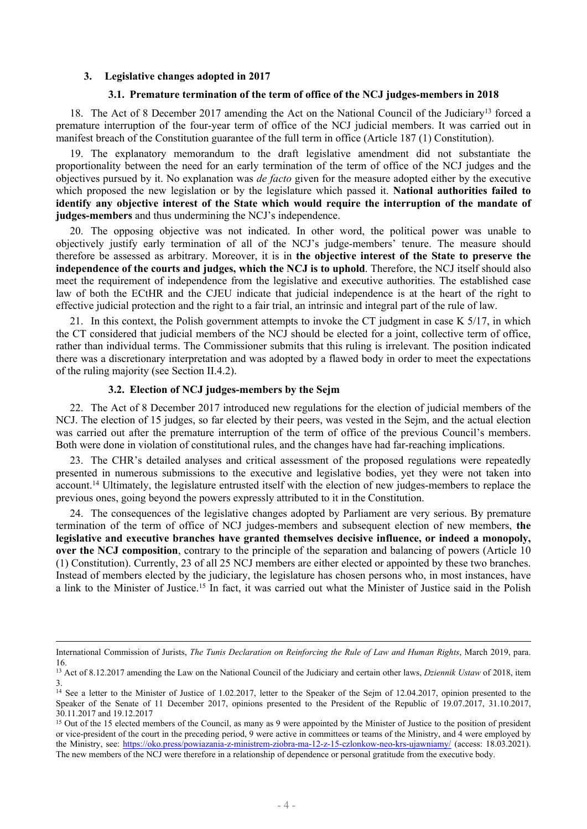### **3. Legislative changes adopted in 2017**

## **3.1. Premature termination of the term of office of the NCJ judges-members in 2018**

18. The Act of 8 December 2017 amending the Act on the National Council of the Judiciary<sup>13</sup> forced a premature interruption of the four-year term of office of the NCJ judicial members. It was carried out in manifest breach of the Constitution guarantee of the full term in office (Article 187 (1) Constitution).

19. The explanatory memorandum to the draft legislative amendment did not substantiate the proportionality between the need for an early termination of the term of office of the NCJ judges and the objectives pursued by it. No explanation was *de facto* given for the measure adopted either by the executive which proposed the new legislation or by the legislature which passed it. **National authorities failed to identify any objective interest of the State which would require the interruption of the mandate of judges-members** and thus undermining the NCJ's independence.

20. The opposing objective was not indicated. In other word, the political power was unable to objectively justify early termination of all of the NCJ's judge-members' tenure. The measure should therefore be assessed as arbitrary. Moreover, it is in **the objective interest of the State to preserve the independence of the courts and judges, which the NCJ is to uphold**. Therefore, the NCJ itself should also meet the requirement of independence from the legislative and executive authorities. The established case law of both the ECtHR and the CJEU indicate that judicial independence is at the heart of the right to effective judicial protection and the right to a fair trial, an intrinsic and integral part of the rule of law.

21. In this context, the Polish government attempts to invoke the CT judgment in case K 5/17, in which the CT considered that judicial members of the NCJ should be elected for a joint, collective term of office, rather than individual terms. The Commissioner submits that this ruling is irrelevant. The position indicated there was a discretionary interpretation and was adopted by a flawed body in order to meet the expectations of the ruling majority (see Section II.4.2).

## **3.2. Election of NCJ judges-members by the Sejm**

22. The Act of 8 December 2017 introduced new regulations for the election of judicial members of the NCJ. The election of 15 judges, so far elected by their peers, was vested in the Sejm, and the actual election was carried out after the premature interruption of the term of office of the previous Council's members. Both were done in violation of constitutional rules, and the changes have had far-reaching implications.

23. The CHR's detailed analyses and critical assessment of the proposed regulations were repeatedly presented in numerous submissions to the executive and legislative bodies, yet they were not taken into account.<sup>14</sup> Ultimately, the legislature entrusted itself with the election of new judges-members to replace the previous ones, going beyond the powers expressly attributed to it in the Constitution.

24. The consequences of the legislative changes adopted by Parliament are very serious. By premature termination of the term of office of NCJ judges-members and subsequent election of new members, **the legislative and executive branches have granted themselves decisive influence, or indeed a monopoly, over the NCJ composition**, contrary to the principle of the separation and balancing of powers (Article 10 (1) Constitution). Currently, 23 of all 25 NCJ members are either elected or appointed by these two branches. Instead of members elected by the judiciary, the legislature has chosen persons who, in most instances, have a link to the Minister of Justice.<sup>15</sup> In fact, it was carried out what the Minister of Justice said in the Polish

International Commission of Jurists, *The Tunis Declaration on Reinforcing the Rule of Law and Human Rights*, March 2019, para. 16.

<sup>13</sup> Act of 8.12.2017 amending the Law on the National Council of the Judiciary and certain other laws, *Dziennik Ustaw* of 2018, item 3.

<sup>&</sup>lt;sup>14</sup> See a letter to the Minister of Justice of 1.02.2017, letter to the Speaker of the Sejm of 12.04.2017, opinion presented to the Speaker of the Senate of 11 December 2017, opinions presented to the President of the Republic of 19.07.2017, 31.10.2017, 30.11.2017 and 19.12.2017

<sup>&</sup>lt;sup>15</sup> Out of the 15 elected members of the Council, as many as 9 were appointed by the Minister of Justice to the position of president or vice-president of the court in the preceding period, 9 were active in committees or teams of the Ministry, and 4 were employed by the Ministry, see: <https://oko.press/powiazania-z-ministrem-ziobra-ma-12-z-15-czlonkow-neo-krs-ujawniamy/> (access: 18.03.2021). The new members of the NCJ were therefore in a relationship of dependence or personal gratitude from the executive body.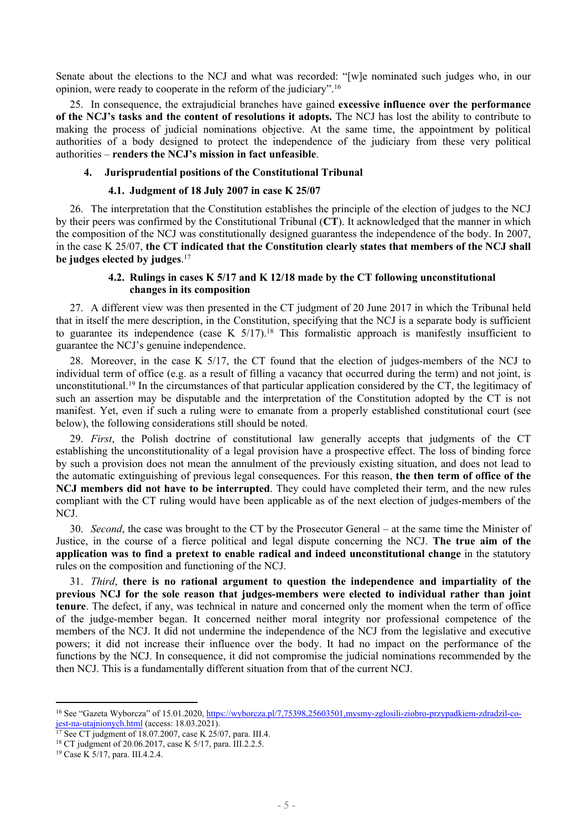Senate about the elections to the NCJ and what was recorded: "[w]e nominated such judges who, in our opinion, were ready to cooperate in the reform of the judiciary".<sup>16</sup>

25. In consequence, the extrajudicial branches have gained **excessive influence over the performance of the NCJ's tasks and the content of resolutions it adopts.** The NCJ has lost the ability to contribute to making the process of judicial nominations objective. At the same time, the appointment by political authorities of a body designed to protect the independence of the judiciary from these very political authorities – **renders the NCJ's mission in fact unfeasible**.

#### **4. Jurisprudential positions of the Constitutional Tribunal**

#### **4.1. Judgment of 18 July 2007 in case K 25/07**

26. The interpretation that the Constitution establishes the principle of the election of judges to the NCJ by their peers was confirmed by the Constitutional Tribunal (**CT**). It acknowledged that the manner in which the composition of the NCJ was constitutionally designed guarantess the independence of the body. In 2007, in the case K 25/07, **the CT indicated that the Constitution clearly states that members of the NCJ shall be judges elected by judges**. 17

# **4.2. Rulings in cases K 5/17 and K 12/18 made by the CT following unconstitutional changes in its composition**

27. A different view was then presented in the CT judgment of 20 June 2017 in which the Tribunal held that in itself the mere description, in the Constitution, specifying that the NCJ is a separate body is sufficient to guarantee its independence (case K  $5/17$ ).<sup>18</sup> This formalistic approach is manifestly insufficient to guarantee the NCJ's genuine independence.

28. Moreover, in the case K 5/17, the CT found that the election of judges-members of the NCJ to individual term of office (e.g. as a result of filling a vacancy that occurred during the term) and not joint, is unconstitutional.<sup>19</sup> In the circumstances of that particular application considered by the CT, the legitimacy of such an assertion may be disputable and the interpretation of the Constitution adopted by the CT is not manifest. Yet, even if such a ruling were to emanate from a properly established constitutional court (see below), the following considerations still should be noted.

29. *First*, the Polish doctrine of constitutional law generally accepts that judgments of the CT establishing the unconstitutionality of a legal provision have a prospective effect. The loss of binding force by such a provision does not mean the annulment of the previously existing situation, and does not lead to the automatic extinguishing of previous legal consequences. For this reason, **the then term of office of the NCJ members did not have to be interrupted**. They could have completed their term, and the new rules compliant with the CT ruling would have been applicable as of the next election of judges-members of the NCJ.

30. *Second*, the case was brought to the CT by the Prosecutor General – at the same time the Minister of Justice, in the course of a fierce political and legal dispute concerning the NCJ. **The true aim of the application was to find a pretext to enable radical and indeed unconstitutional change** in the statutory rules on the composition and functioning of the NCJ.

31. *Third*, **there is no rational argument to question the independence and impartiality of the previous NCJ for the sole reason that judges-members were elected to individual rather than joint tenure**. The defect, if any, was technical in nature and concerned only the moment when the term of office of the judge-member began. It concerned neither moral integrity nor professional competence of the members of the NCJ. It did not undermine the independence of the NCJ from the legislative and executive powers; it did not increase their influence over the body. It had no impact on the performance of the functions by the NCJ. In consequence, it did not compromise the judicial nominations recommended by the then NCJ. This is a fundamentally different situation from that of the current NCJ.

<sup>16</sup> See "Gazeta Wyborcza" of 15.01.2020, [https://wyborcza.pl/7,75398,25603501,mysmy-zglosili-ziobro-przypadkiem-zdradzil-co](https://wyborcza.pl/7,75398,25603501,mysmy-zglosili-ziobro-przypadkiem-zdradzil-co-jest-na-utajnionych.html)[jest-na-utajnionych.html](https://wyborcza.pl/7,75398,25603501,mysmy-zglosili-ziobro-przypadkiem-zdradzil-co-jest-na-utajnionych.html) (access: 18.03.2021).

<sup>&</sup>lt;sup>17</sup> See CT judgment of 18.07.2007, case K 25/07, para. III.4.

<sup>18</sup> CT judgment of 20.06.2017, case K 5/17, para. III.2.2.5.

<sup>19</sup> Case K 5/17, para. III.4.2.4.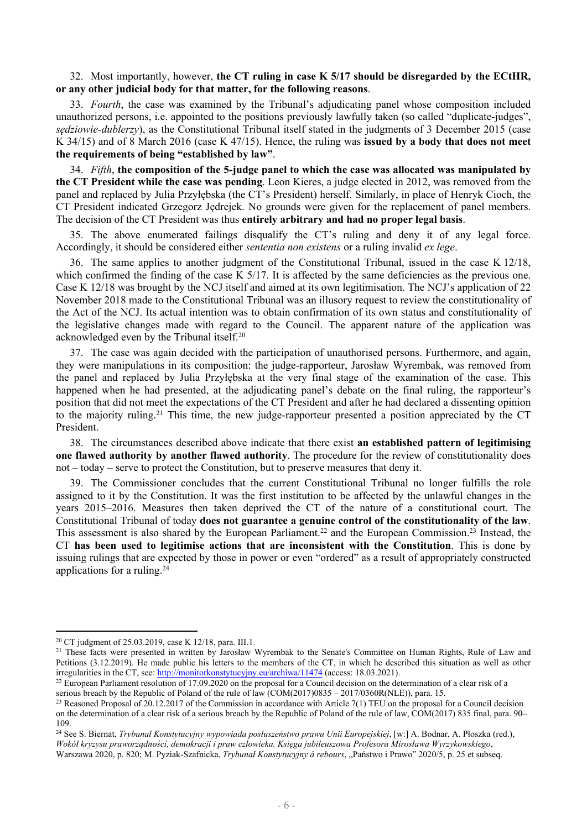32. Most importantly, however, **the CT ruling in case K 5/17 should be disregarded by the ECtHR, or any other judicial body for that matter, for the following reasons**.

33. *Fourth*, the case was examined by the Tribunal's adjudicating panel whose composition included unauthorized persons, i.e. appointed to the positions previously lawfully taken (so called "duplicate-judges", *sędziowie-dublerzy*), as the Constitutional Tribunal itself stated in the judgments of 3 December 2015 (case K 34/15) and of 8 March 2016 (case K 47/15). Hence, the ruling was **issued by a body that does not meet the requirements of being "established by law"**.

34. *Fifth*, **the composition of the 5-judge panel to which the case was allocated was manipulated by the CT President while the case was pending**. Leon Kieres, a judge elected in 2012, was removed from the panel and replaced by Julia Przyłębska (the CT's President) herself. Similarly, in place of Henryk Cioch, the CT President indicated Grzegorz Jędrejek. No grounds were given for the replacement of panel members. The decision of the CT President was thus **entirely arbitrary and had no proper legal basis**.

35. The above enumerated failings disqualify the CT's ruling and deny it of any legal force. Accordingly, it should be considered either *sententia non existens* or a ruling invalid *ex lege*.

36. The same applies to another judgment of the Constitutional Tribunal, issued in the case K 12/18, which confirmed the finding of the case K 5/17. It is affected by the same deficiencies as the previous one. Case K 12/18 was brought by the NCJ itself and aimed at its own legitimisation. The NCJ's application of 22 November 2018 made to the Constitutional Tribunal was an illusory request to review the constitutionality of the Act of the NCJ. Its actual intention was to obtain confirmation of its own status and constitutionality of the legislative changes made with regard to the Council. The apparent nature of the application was acknowledged even by the Tribunal itself.<sup>20</sup>

37. The case was again decided with the participation of unauthorised persons. Furthermore, and again, they were manipulations in its composition: the judge-rapporteur, Jarosław Wyrembak, was removed from the panel and replaced by Julia Przyłębska at the very final stage of the examination of the case. This happened when he had presented, at the adjudicating panel's debate on the final ruling, the rapporteur's position that did not meet the expectations of the CT President and after he had declared a dissenting opinion to the majority ruling.<sup>21</sup> This time, the new judge-rapporteur presented a position appreciated by the CT President.

38. The circumstances described above indicate that there exist **an established pattern of legitimising one flawed authority by another flawed authority**. The procedure for the review of constitutionality does not – today – serve to protect the Constitution, but to preserve measures that deny it.

39. The Commissioner concludes that the current Constitutional Tribunal no longer fulfills the role assigned to it by the Constitution. It was the first institution to be affected by the unlawful changes in the years 2015–2016. Measures then taken deprived the CT of the nature of a constitutional court. The Constitutional Tribunal of today **does not guarantee a genuine control of the constitutionality of the law**. This assessment is also shared by the European Parliament.<sup>22</sup> and the European Commission.<sup>23</sup> Instead, the CT **has been used to legitimise actions that are inconsistent with the Constitution**. This is done by issuing rulings that are expected by those in power or even "ordered" as a result of appropriately constructed applications for a ruling.<sup>24</sup>

<sup>20</sup> CT judgment of 25.03.2019, case K 12/18, para. III.1.

<sup>&</sup>lt;sup>21</sup> These facts were presented in written by Jarosław Wyrembak to the Senate's Committee on Human Rights, Rule of Law and Petitions (3.12.2019). He made public his letters to the members of the CT, in which he described this situation as well as other irregularities in the CT, see: <http://monitorkonstytucyjny.eu/archiwa/11474> (access: 18.03.2021).

<sup>&</sup>lt;sup>22</sup> European Parliament resolution of 17.09.2020 on the proposal for a Council decision on the determination of a clear risk of a serious breach by the Republic of Poland of the rule of law (COM(2017)0835 – 2017/0360R(NLE)), para. 15.

<sup>&</sup>lt;sup>23</sup> Reasoned Proposal of 20.12.2017 of the Commission in accordance with Article 7(1) TEU on the proposal for a Council decision on the determination of a clear risk of a serious breach by the Republic of Poland of the rule of law, COM(2017) 835 final, para. 90– 109.

<sup>24</sup> See S. Biernat, *Trybunał Konstytucyjny wypowiada posłuszeństwo prawu Unii Europejskiej*, [w:] A. Bodnar, A. Płoszka (red.), *Wokół kryzysu praworządności, demokracji i praw człowieka. Księga jubileuszowa Profesora Mirosława Wyrzykowskiego*, Warszawa 2020, p. 820; M. Pyziak-Szafnicka, *Trybunał Konstytucyjny á rebours*, "Państwo i Prawo" 2020/5, p. 25 et subseq.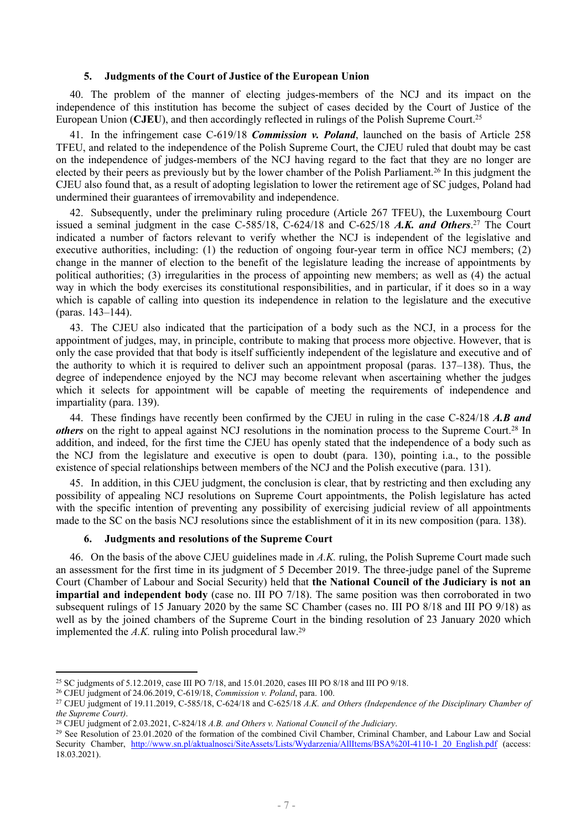#### **5. Judgments of the Court of Justice of the European Union**

40. The problem of the manner of electing judges-members of the NCJ and its impact on the independence of this institution has become the subject of cases decided by the Court of Justice of the European Union (**CJEU**), and then accordingly reflected in rulings of the Polish Supreme Court.<sup>25</sup>

41. In the infringement case C-619/18 *Commission v. Poland*, launched on the basis of Article 258 TFEU, and related to the independence of the Polish Supreme Court, the CJEU ruled that doubt may be cast on the independence of judges-members of the NCJ having regard to the fact that they are no longer are elected by their peers as previously but by the lower chamber of the Polish Parliament.<sup>26</sup> In this judgment the CJEU also found that, as a result of adopting legislation to lower the retirement age of SC judges, Poland had undermined their guarantees of irremovability and independence.

42. Subsequently, under the preliminary ruling procedure (Article 267 TFEU), the Luxembourg Court issued a seminal judgment in the case C-585/18, C-624/18 and C-625/18 *A.K. and Others*. <sup>27</sup> The Court indicated a number of factors relevant to verify whether the NCJ is independent of the legislative and executive authorities, including: (1) the reduction of ongoing four-year term in office NCJ members; (2) change in the manner of election to the benefit of the legislature leading the increase of appointments by political authorities; (3) irregularities in the process of appointing new members; as well as (4) the actual way in which the body exercises its constitutional responsibilities, and in particular, if it does so in a way which is capable of calling into question its independence in relation to the legislature and the executive (paras. 143–144).

43. The CJEU also indicated that the participation of a body such as the NCJ, in a process for the appointment of judges, may, in principle, contribute to making that process more objective. However, that is only the case provided that that body is itself sufficiently independent of the legislature and executive and of the authority to which it is required to deliver such an appointment proposal (paras. 137–138). Thus, the degree of independence enjoyed by the NCJ may become relevant when ascertaining whether the judges which it selects for appointment will be capable of meeting the requirements of independence and impartiality (para. 139).

44. These findings have recently been confirmed by the CJEU in ruling in the case C-824/18 *A.B and others* on the right to appeal against NCJ resolutions in the nomination process to the Supreme Court.<sup>28</sup> In addition, and indeed, for the first time the CJEU has openly stated that the independence of a body such as the NCJ from the legislature and executive is open to doubt (para. 130), pointing i.a., to the possible existence of special relationships between members of the NCJ and the Polish executive (para. 131).

45. In addition, in this CJEU judgment, the conclusion is clear, that by restricting and then excluding any possibility of appealing NCJ resolutions on Supreme Court appointments, the Polish legislature has acted with the specific intention of preventing any possibility of exercising judicial review of all appointments made to the SC on the basis NCJ resolutions since the establishment of it in its new composition (para. 138).

## **6. Judgments and resolutions of the Supreme Court**

46. On the basis of the above CJEU guidelines made in *A.K.* ruling, the Polish Supreme Court made such an assessment for the first time in its judgment of 5 December 2019. The three-judge panel of the Supreme Court (Chamber of Labour and Social Security) held that **the National Council of the Judiciary is not an impartial and independent body** (case no. III PO 7/18). The same position was then corroborated in two subsequent rulings of 15 January 2020 by the same SC Chamber (cases no. III PO 8/18 and III PO 9/18) as well as by the joined chambers of the Supreme Court in the binding resolution of 23 January 2020 which implemented the *A.K.* ruling into Polish procedural law.<sup>29</sup>

<sup>&</sup>lt;sup>25</sup> SC judgments of 5.12.2019, case III PO 7/18, and 15.01.2020, cases III PO 8/18 and III PO 9/18.

<sup>26</sup> CJEU judgment of 24.06.2019, C-619/18, *Commission v. Poland*, para. 100.

<sup>27</sup> CJEU judgment of 19.11.2019, C-585/18, C-624/18 and C-625/18 *A.K. and Others (Independence of the Disciplinary Chamber of the Supreme Court)*.

<sup>28</sup> CJEU judgment of 2.03.2021, C-824/18 *A.B. and Others v. National Council of the Judiciary*.

<sup>&</sup>lt;sup>29</sup> See Resolution of 23.01.2020 of the formation of the combined Civil Chamber, Criminal Chamber, and Labour Law and Social Security Chamber, [http://www.sn.pl/aktualnosci/SiteAssets/Lists/Wydarzenia/AllItems/BSA%20I-4110-1\\_20\\_English.pdf](http://www.sn.pl/aktualnosci/SiteAssets/Lists/Wydarzenia/AllItems/BSA%20I-4110-1_20_English.pdf) (access: 18.03.2021).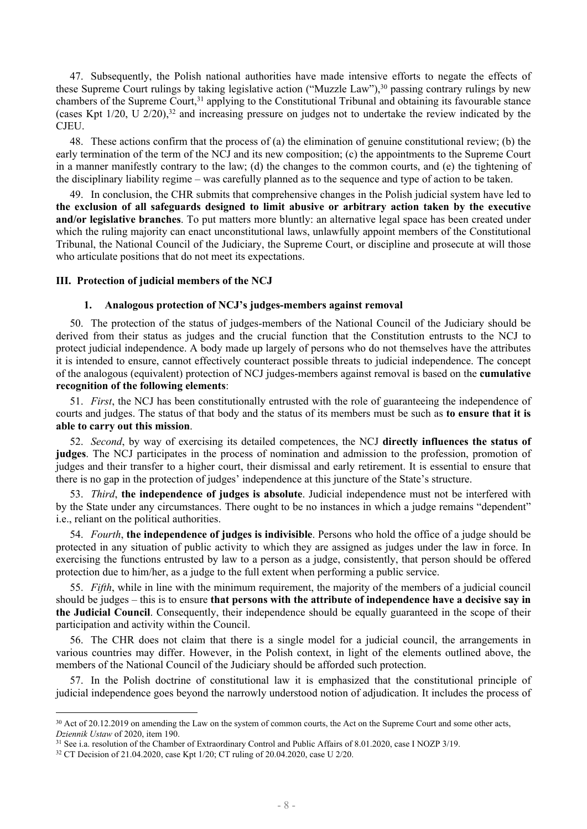47. Subsequently, the Polish national authorities have made intensive efforts to negate the effects of these Supreme Court rulings by taking legislative action ("Muzzle Law"),<sup>30</sup> passing contrary rulings by new chambers of the Supreme Court,<sup>31</sup> applying to the Constitutional Tribunal and obtaining its favourable stance (cases Kpt  $1/20$ , U  $2/20$ ),<sup>32</sup> and increasing pressure on judges not to undertake the review indicated by the CJEU.

48. These actions confirm that the process of (a) the elimination of genuine constitutional review; (b) the early termination of the term of the NCJ and its new composition; (c) the appointments to the Supreme Court in a manner manifestly contrary to the law; (d) the changes to the common courts, and (e) the tightening of the disciplinary liability regime – was carefully planned as to the sequence and type of action to be taken.

49. In conclusion, the CHR submits that comprehensive changes in the Polish judicial system have led to **the exclusion of all safeguards designed to limit abusive or arbitrary action taken by the executive and/or legislative branches**. To put matters more bluntly: an alternative legal space has been created under which the ruling majority can enact unconstitutional laws, unlawfully appoint members of the Constitutional Tribunal, the National Council of the Judiciary, the Supreme Court, or discipline and prosecute at will those who articulate positions that do not meet its expectations.

## **III. Protection of judicial members of the NCJ**

#### **1. Analogous protection of NCJ's judges-members against removal**

50. The protection of the status of judges-members of the National Council of the Judiciary should be derived from their status as judges and the crucial function that the Constitution entrusts to the NCJ to protect judicial independence. A body made up largely of persons who do not themselves have the attributes it is intended to ensure, cannot effectively counteract possible threats to judicial independence. The concept of the analogous (equivalent) protection of NCJ judges-members against removal is based on the **cumulative recognition of the following elements**:

51. *First*, the NCJ has been constitutionally entrusted with the role of guaranteeing the independence of courts and judges. The status of that body and the status of its members must be such as **to ensure that it is able to carry out this mission**.

52. *Second*, by way of exercising its detailed competences, the NCJ **directly influences the status of judges**. The NCJ participates in the process of nomination and admission to the profession, promotion of judges and their transfer to a higher court, their dismissal and early retirement. It is essential to ensure that there is no gap in the protection of judges' independence at this juncture of the State's structure.

53. *Third*, **the independence of judges is absolute**. Judicial independence must not be interfered with by the State under any circumstances. There ought to be no instances in which a judge remains "dependent" i.e., reliant on the political authorities.

54. *Fourth*, **the independence of judges is indivisible**. Persons who hold the office of a judge should be protected in any situation of public activity to which they are assigned as judges under the law in force. In exercising the functions entrusted by law to a person as a judge, consistently, that person should be offered protection due to him/her, as a judge to the full extent when performing a public service.

55. *Fifth*, while in line with the minimum requirement, the majority of the members of a judicial council should be judges – this is to ensure **that persons with the attribute of independence have a decisive say in the Judicial Council**. Consequently, their independence should be equally guaranteed in the scope of their participation and activity within the Council.

56. The CHR does not claim that there is a single model for a judicial council, the arrangements in various countries may differ. However, in the Polish context, in light of the elements outlined above, the members of the National Council of the Judiciary should be afforded such protection.

57. In the Polish doctrine of constitutional law it is emphasized that the constitutional principle of judicial independence goes beyond the narrowly understood notion of adjudication. It includes the process of

<sup>&</sup>lt;sup>30</sup> Act of 20.12.2019 on amending the Law on the system of common courts, the Act on the Supreme Court and some other acts, *Dziennik Ustaw* of 2020, item 190.

<sup>&</sup>lt;sup>31</sup> See i.a. resolution of the Chamber of Extraordinary Control and Public Affairs of 8.01.2020, case I NOZP 3/19.

<sup>32</sup> CT Decision of 21.04.2020, case Kpt 1/20; CT ruling of 20.04.2020, case U 2/20.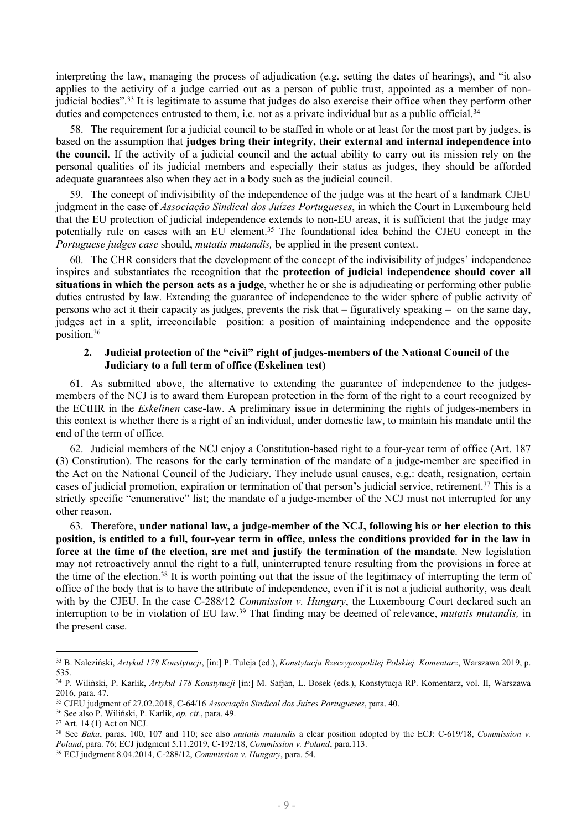interpreting the law, managing the process of adjudication (e.g. setting the dates of hearings), and "it also applies to the activity of a judge carried out as a person of public trust, appointed as a member of nonjudicial bodies".<sup>33</sup> It is legitimate to assume that judges do also exercise their office when they perform other duties and competences entrusted to them, i.e. not as a private individual but as a public official.<sup>34</sup>

58. The requirement for a judicial council to be staffed in whole or at least for the most part by judges, is based on the assumption that **judges bring their integrity, their external and internal independence into the council**. If the activity of a judicial council and the actual ability to carry out its mission rely on the personal qualities of its judicial members and especially their status as judges, they should be afforded adequate guarantees also when they act in a body such as the judicial council.

59. The concept of indivisibility of the independence of the judge was at the heart of a landmark CJEU judgment in the case of *Associação Sindical dos Juízes Portugueses*, in which the Court in Luxembourg held that the EU protection of judicial independence extends to non-EU areas, it is sufficient that the judge may potentially rule on cases with an EU element.<sup>35</sup> The foundational idea behind the CJEU concept in the *Portuguese judges case* should, *mutatis mutandis,* be applied in the present context.

60. The CHR considers that the development of the concept of the indivisibility of judges' independence inspires and substantiates the recognition that the **protection of judicial independence should cover all situations in which the person acts as a judge**, whether he or she is adjudicating or performing other public duties entrusted by law. Extending the guarantee of independence to the wider sphere of public activity of persons who act it their capacity as judges, prevents the risk that – figuratively speaking – on the same day, judges act in a split, irreconcilable position: a position of maintaining independence and the opposite position.<sup>36</sup>

## **2. Judicial protection of the "civil" right of judges-members of the National Council of the Judiciary to a full term of office (Eskelinen test)**

61. As submitted above, the alternative to extending the guarantee of independence to the judgesmembers of the NCJ is to award them European protection in the form of the right to a court recognized by the ECtHR in the *Eskelinen* case-law. A preliminary issue in determining the rights of judges-members in this context is whether there is a right of an individual, under domestic law, to maintain his mandate until the end of the term of office.

62. Judicial members of the NCJ enjoy a Constitution-based right to a four-year term of office (Art. 187 (3) Constitution). The reasons for the early termination of the mandate of a judge-member are specified in the Act on the National Council of the Judiciary. They include usual causes, e.g.: death, resignation, certain cases of judicial promotion, expiration or termination of that person's judicial service, retirement.<sup>37</sup> This is a strictly specific "enumerative" list; the mandate of a judge-member of the NCJ must not interrupted for any other reason.

63. Therefore, **under national law, a judge-member of the NCJ, following his or her election to this** position, is entitled to a full, four-year term in office, unless the conditions provided for in the law in **force at the time of the election, are met and justify the termination of the mandate**. New legislation may not retroactively annul the right to a full, uninterrupted tenure resulting from the provisions in force at the time of the election.<sup>38</sup> It is worth pointing out that the issue of the legitimacy of interrupting the term of office of the body that is to have the attribute of independence, even if it is not a judicial authority, was dealt with by the CJEU. In the case C-288/12 *Commission v. Hungary*, the Luxembourg Court declared such an interruption to be in violation of EU law.<sup>39</sup> That finding may be deemed of relevance, *mutatis mutandis,* in the present case.

<sup>33</sup> B. Naleziński, *Artykuł 178 Konstytucji*, [in:] P. Tuleja (ed.), *Konstytucja Rzeczypospolitej Polskiej. Komentarz*, Warszawa 2019, p. 535.

<sup>34</sup> P. Wiliński, P. Karlik, *Artykuł 178 Konstytucji* [in:] M. Safjan, L. Bosek (eds.), Konstytucja RP. Komentarz, vol. II, Warszawa 2016, para. 47.

<sup>35</sup> CJEU judgment of 27.02.2018, C-64/16 *Associação Sindical dos Juízes Portugueses*, para. 40.

<sup>36</sup> See also P. Wiliński, P. Karlik, *op. cit.*, para. 49.

<sup>37</sup> Art. 14 (1) Act on NCJ.

<sup>38</sup> See *Baka*, paras. 100, 107 and 110; see also *mutatis mutandis* a clear position adopted by the ECJ: C-619/18, *Commission v. Poland*, para. 76; ECJ judgment 5.11.2019, C-192/18, *Commission v. Poland*, para.113.

<sup>39</sup> ECJ judgment 8.04.2014, C-288/12, *Commission v. Hungary*, para. 54.